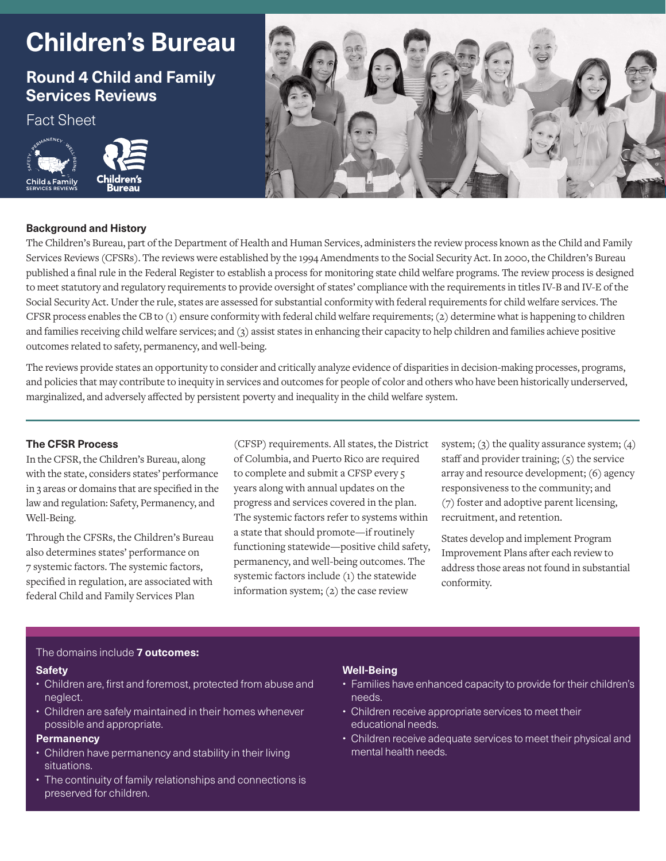# **Children's Bureau**

# **Round 4 Child and Family Services Reviews**

Fact Sheet





## **Background and History**

The Children's Bureau, part of the Department of Health and Human Services, administers the review process known as the Child and Family Services Reviews (CFSRs). The reviews were established by the 1994 Amendments to the Social Security Act. In 2000, the Children's Bureau published a final rule in the Federal Register to establish a process for monitoring state child welfare programs. The review process is designed to meet statutory and regulatory requirements to provide oversight of states' compliance with the requirements in titles IV-B and IV-E of the Social Security Act. Under the rule, states are assessed for substantial conformity with federal requirements for child welfare services. The CFSR process enables the CB to (1) ensure conformity with federal child welfare requirements; (2) determine what is happening to children and families receiving child welfare services; and (3) assist states in enhancing their capacity to help children and families achieve positive outcomes related to safety, permanency, and well-being.

The reviews provide states an opportunity to consider and critically analyze evidence of disparities in decision-making processes, programs, and policies that may contribute to inequity in services and outcomes for people of color and others who have been historically underserved, marginalized, and adversely affected by persistent poverty and inequality in the child welfare system.

### **The CFSR Process**

In the CFSR, the Children's Bureau, along with the state, considers states' performance in 3 areas or domains that are specified in the law and regulation: Safety, Permanency, and Well-Being.

Through the CFSRs, the Children's Bureau also determines states' performance on 7 systemic factors. The systemic factors, specified in regulation, are associated with federal Child and Family Services Plan

(CFSP) requirements. All states, the District of Columbia, and Puerto Rico are required to complete and submit a CFSP every 5 years along with annual updates on the progress and services covered in the plan. The systemic factors refer to systems within a state that should promote—if routinely functioning statewide—positive child safety, permanency, and well-being outcomes. The systemic factors include (1) the statewide information system; (2) the case review

system;  $(3)$  the quality assurance system;  $(4)$ staff and provider training; (5) the service array and resource development; (6) agency responsiveness to the community; and (7) foster and adoptive parent licensing, recruitment, and retention.

States develop and implement Program Improvement Plans after each review to address those areas not found in substantial conformity.

#### The domains include **7 outcomes:**

#### **Safety**

- Children are, first and foremost, protected from abuse and neglect.
- Children are safely maintained in their homes whenever possible and appropriate.

# **Permanency**

- Children have permanency and stability in their living situations.
- The continuity of family relationships and connections is preserved for children.

# **Well-Being**

- Families have enhanced capacity to provide for their children's needs.
- Children receive appropriate services to meet their educational needs.
- Children receive adequate services to meet their physical and mental health needs.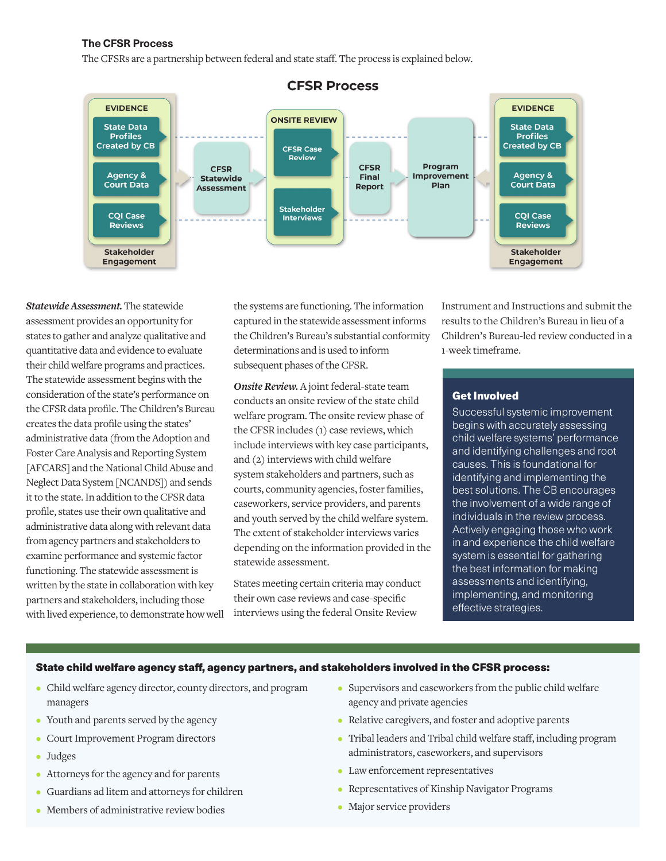#### **The CFSR Process**

The CFSRs are a partnership between federal and state staff. The process is explained below.



*Statewide Assessment.* The statewide assessment provides an opportunity for states to gather and analyze qualitative and quantitative data and evidence to evaluate their child welfare programs and practices. The statewide assessment begins with the consideration of the state's performance on the CFSR data profile. The Children's Bureau creates the data profile using the states' administrative data (from the Adoption and Foster Care Analysis and Reporting System [AFCARS] and the National Child Abuse and Neglect Data System [NCANDS]) and sends it to the state. In addition to the CFSR data profile, states use their own qualitative and administrative data along with relevant data from agency partners and stakeholders to examine performance and systemic factor functioning. The statewide assessment is written by the state in collaboration with key partners and stakeholders, including those with lived experience, to demonstrate how well the systems are functioning. The information captured in the statewide assessment informs the Children's Bureau's substantial conformity determinations and is used to inform subsequent phases of the CFSR.

*Onsite Review.* A joint federal-state team conducts an onsite review of the state child welfare program. The onsite review phase of the CFSR includes (1) case reviews, which include interviews with key case participants, and (2) interviews with child welfare system stakeholders and partners, such as courts, community agencies, foster families, caseworkers, service providers, and parents and youth served by the child welfare system. The extent of stakeholder interviews varies depending on the information provided in the statewide assessment.

States meeting certain criteria may conduct their own case reviews and case-specific interviews using the federal Onsite Review

Instrument and Instructions and submit the results to the Children's Bureau in lieu of a Children's Bureau-led review conducted in a 1-week timeframe.

#### Get Involved

Successful systemic improvement begins with accurately assessing child welfare systems' performance and identifying challenges and root causes. This is foundational for identifying and implementing the best solutions. The CB encourages the involvement of a wide range of individuals in the review process. Actively engaging those who work in and experience the child welfare system is essential for gathering the best information for making assessments and identifying, implementing, and monitoring effective strategies.

#### State child welfare agency staff, agency partners, and stakeholders involved in the CFSR process:

- Child welfare agency director, county directors, and program managers
- Youth and parents served by the agency
- Court Improvement Program directors
- Judges
- Attorneys for the agency and for parents
- Guardians ad litem and attorneys for children
- Members of administrative review bodies
- Supervisors and caseworkers from the public child welfare agency and private agencies
- Relative caregivers, and foster and adoptive parents
- Tribal leaders and Tribal child welfare staff, including program administrators, caseworkers, and supervisors
- Law enforcement representatives
- Representatives of Kinship Navigator Programs
- Major service providers